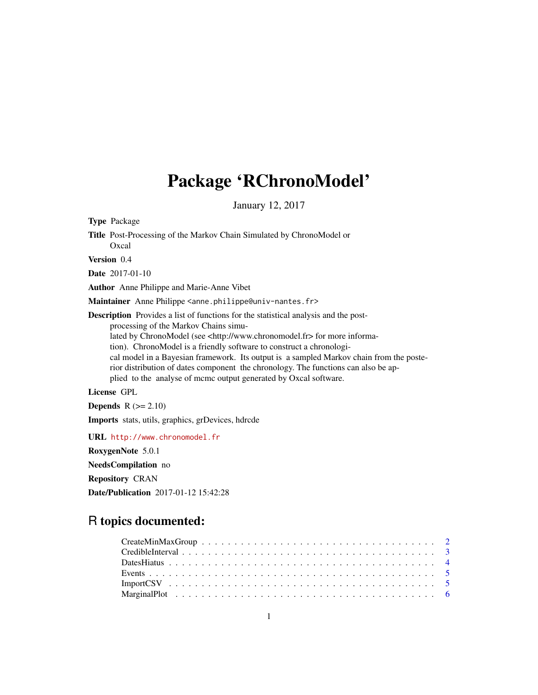# Package 'RChronoModel'

January 12, 2017

Type Package Title Post-Processing of the Markov Chain Simulated by ChronoModel or Oxcal Version 0.4 Date 2017-01-10 Author Anne Philippe and Marie-Anne Vibet Maintainer Anne Philippe <anne.philippe@univ-nantes.fr> Description Provides a list of functions for the statistical analysis and the postprocessing of the Markov Chains simulated by ChronoModel (see <http://www.chronomodel.fr> for more information). ChronoModel is a friendly software to construct a chronological model in a Bayesian framework. Its output is a sampled Markov chain from the posterior distribution of dates component the chronology. The functions can also be applied to the analyse of mcmc output generated by Oxcal software. License GPL **Depends**  $R$  ( $>= 2.10$ ) Imports stats, utils, graphics, grDevices, hdrcde

URL <http://www.chronomodel.fr>

RoxygenNote 5.0.1

NeedsCompilation no

Repository CRAN

Date/Publication 2017-01-12 15:42:28

# R topics documented: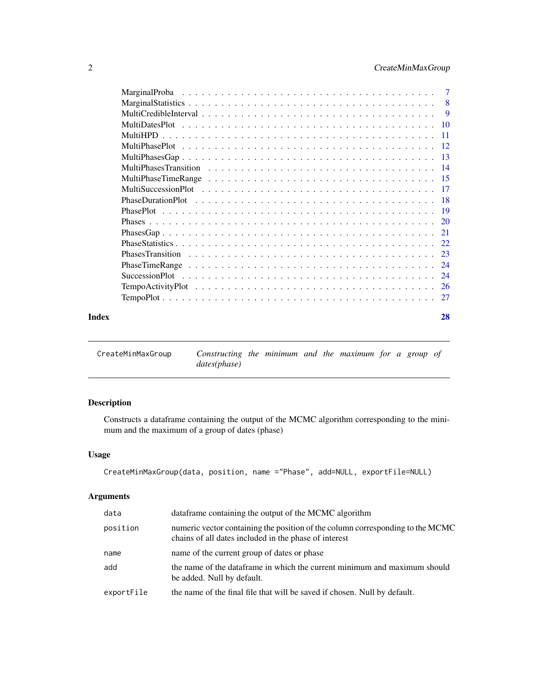<span id="page-1-0"></span>

|       | $\overline{7}$ |
|-------|----------------|
|       |                |
|       | -9             |
|       |                |
|       |                |
|       |                |
|       |                |
|       |                |
|       |                |
|       |                |
|       |                |
|       |                |
|       |                |
|       |                |
|       |                |
|       | 23             |
|       | -24            |
|       | 24             |
|       | -26            |
|       |                |
| Index | 28             |

CreateMinMaxGroup *Constructing the minimum and the maximum for a group of dates(phase)*

# Description

Constructs a dataframe containing the output of the MCMC algorithm corresponding to the minimum and the maximum of a group of dates (phase)

# Usage

```
CreateMinMaxGroup(data, position, name ="Phase", add=NULL, exportFile=NULL)
```
# Arguments

| data       | data frame containing the output of the MCMC algorithm                                                                                  |
|------------|-----------------------------------------------------------------------------------------------------------------------------------------|
| position   | numeric vector containing the position of the column corresponding to the MCMC<br>chains of all dates included in the phase of interest |
| name       | name of the current group of dates or phase                                                                                             |
| add        | the name of the dataframe in which the current minimum and maximum should<br>be added. Null by default.                                 |
| exportFile | the name of the final file that will be saved if chosen. Null by default.                                                               |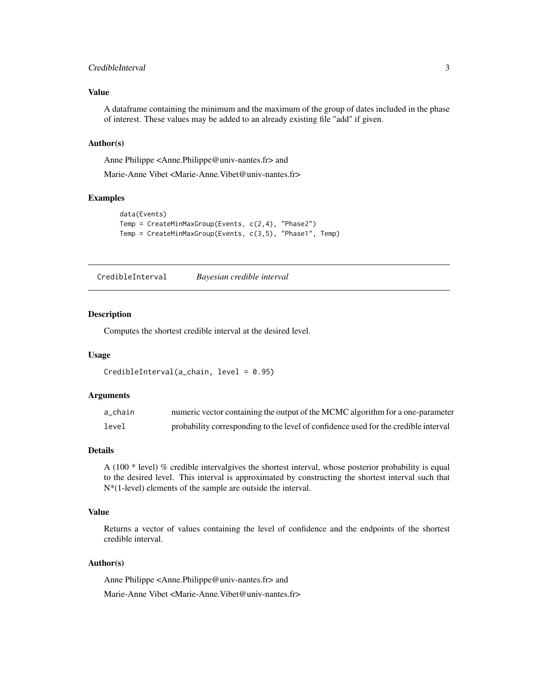# <span id="page-2-0"></span>CredibleInterval 3

#### Value

A dataframe containing the minimum and the maximum of the group of dates included in the phase of interest. These values may be added to an already existing file "add" if given.

#### Author(s)

Anne Philippe <Anne.Philippe@univ-nantes.fr> and

Marie-Anne Vibet <Marie-Anne.Vibet@univ-nantes.fr>

# Examples

```
data(Events)
Temp = CreateMinMaxGroup(Events, c(2,4), "Phase2")
Temp = CreateMinMaxGroup(Events, c(3,5), "Phase1", Temp)
```
CredibleInterval *Bayesian credible interval*

#### Description

Computes the shortest credible interval at the desired level.

#### Usage

```
CredibleInterval(a_chain, level = 0.95)
```
# Arguments

| a chain | numeric vector containing the output of the MCMC algorithm for a one-parameter      |
|---------|-------------------------------------------------------------------------------------|
| level   | probability corresponding to the level of confidence used for the credible interval |

# Details

A (100 \* level) % credible intervalgives the shortest interval, whose posterior probability is equal to the desired level. This interval is approximated by constructing the shortest interval such that N\*(1-level) elements of the sample are outside the interval.

#### Value

Returns a vector of values containing the level of confidence and the endpoints of the shortest credible interval.

#### Author(s)

Anne Philippe <Anne.Philippe@univ-nantes.fr> and

Marie-Anne Vibet <Marie-Anne.Vibet@univ-nantes.fr>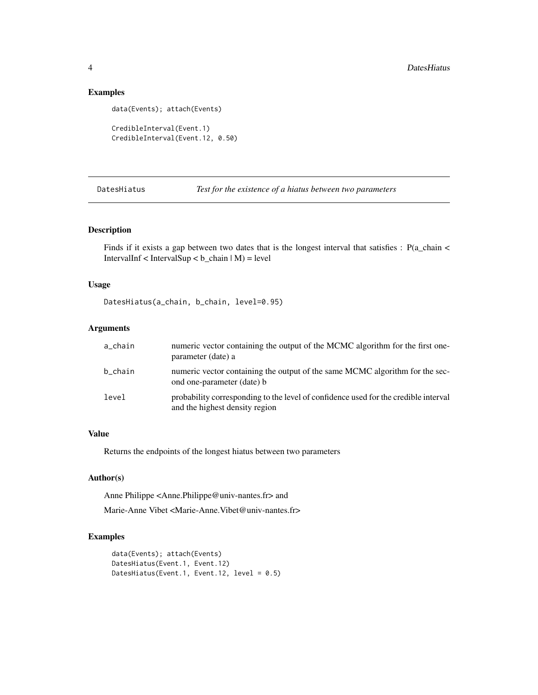# Examples

```
data(Events); attach(Events)
```

```
CredibleInterval(Event.1)
CredibleInterval(Event.12, 0.50)
```
DatesHiatus *Test for the existence of a hiatus between two parameters*

# Description

Finds if it exists a gap between two dates that is the longest interval that satisfies :  $P(a_c)$ chain < IntervalInf < IntervalSup <  $b$ \_chain  $|M$ ) = level

# Usage

DatesHiatus(a\_chain, b\_chain, level=0.95)

#### Arguments

| a_chain | numeric vector containing the output of the MCMC algorithm for the first one-<br>parameter (date) a                   |
|---------|-----------------------------------------------------------------------------------------------------------------------|
| b_chain | numeric vector containing the output of the same MCMC algorithm for the sec-<br>ond one-parameter (date) b            |
| level   | probability corresponding to the level of confidence used for the credible interval<br>and the highest density region |

# Value

Returns the endpoints of the longest hiatus between two parameters

#### Author(s)

Anne Philippe <Anne.Philippe@univ-nantes.fr> and

Marie-Anne Vibet <Marie-Anne.Vibet@univ-nantes.fr>

```
data(Events); attach(Events)
DatesHiatus(Event.1, Event.12)
DatesHiatus(Event.1, Event.12, level = 0.5)
```
<span id="page-3-0"></span>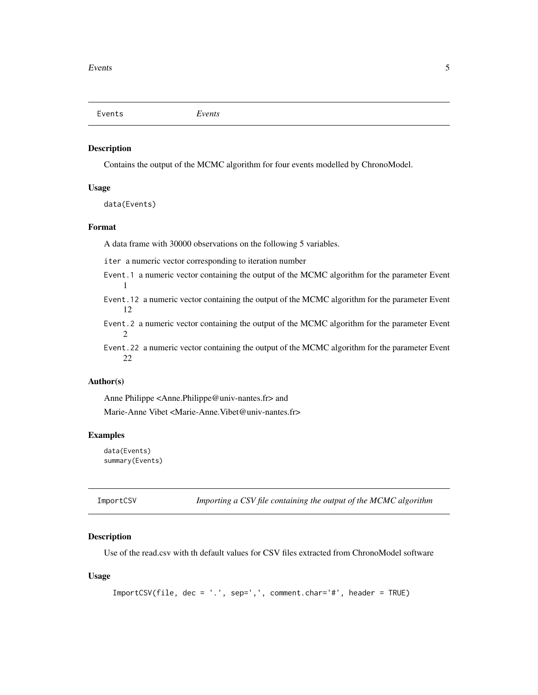<span id="page-4-0"></span>Events *Events*

#### Description

Contains the output of the MCMC algorithm for four events modelled by ChronoModel.

#### Usage

data(Events)

# Format

A data frame with 30000 observations on the following 5 variables.

iter a numeric vector corresponding to iteration number

- Event.1 a numeric vector containing the output of the MCMC algorithm for the parameter Event 1
- Event.12 a numeric vector containing the output of the MCMC algorithm for the parameter Event 12
- Event.2 a numeric vector containing the output of the MCMC algorithm for the parameter Event 2

Event.22 a numeric vector containing the output of the MCMC algorithm for the parameter Event 22

#### Author(s)

Anne Philippe <Anne.Philippe@univ-nantes.fr> and Marie-Anne Vibet <Marie-Anne.Vibet@univ-nantes.fr>

# Examples

```
data(Events)
summary(Events)
```
ImportCSV *Importing a CSV file containing the output of the MCMC algorithm*

# Description

Use of the read.csv with th default values for CSV files extracted from ChronoModel software

#### Usage

ImportCSV(file, dec = '.', sep=',', comment.char='#', header = TRUE)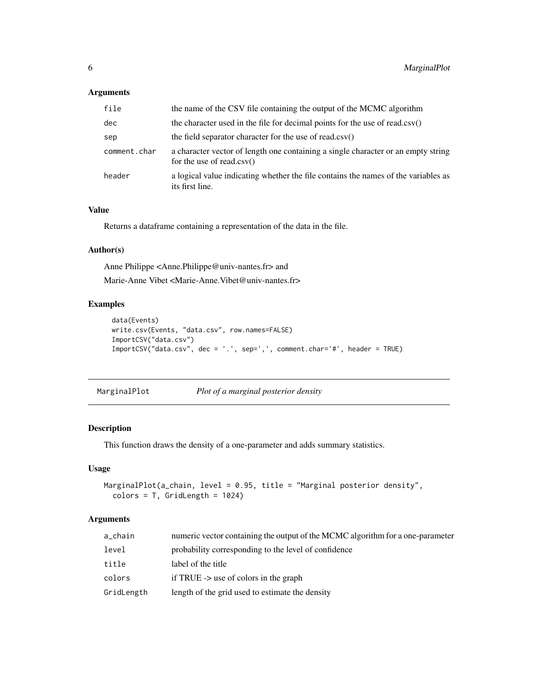# <span id="page-5-0"></span>Arguments

| file         | the name of the CSV file containing the output of the MCMC algorithm                                              |
|--------------|-------------------------------------------------------------------------------------------------------------------|
| dec          | the character used in the file for decimal points for the use of read.csv()                                       |
| sep          | the field separator character for the use of read.csv()                                                           |
| comment.char | a character vector of length one containing a single character or an empty string<br>for the use of read.csv $()$ |
| header       | a logical value indicating whether the file contains the names of the variables as<br>its first line.             |

# Value

Returns a dataframe containing a representation of the data in the file.

#### Author(s)

Anne Philippe <Anne.Philippe@univ-nantes.fr> and

Marie-Anne Vibet <Marie-Anne.Vibet@univ-nantes.fr>

# Examples

```
data(Events)
write.csv(Events, "data.csv", row.names=FALSE)
ImportCSV("data.csv")
ImportCSV("data.csv", dec = '.', sep=',', comment.char='#', header = TRUE)
```
MarginalPlot *Plot of a marginal posterior density*

#### Description

This function draws the density of a one-parameter and adds summary statistics.

# Usage

```
MarginalPlot(a_chain, level = 0.95, title = "Marginal posterior density",
  colors = T, GridLength = 1024)
```
# Arguments

| a_chain    | numeric vector containing the output of the MCMC algorithm for a one-parameter |
|------------|--------------------------------------------------------------------------------|
| level      | probability corresponding to the level of confidence                           |
| title      | label of the title                                                             |
| colors     | if TRUE $\rightarrow$ use of colors in the graph                               |
| GridLength | length of the grid used to estimate the density                                |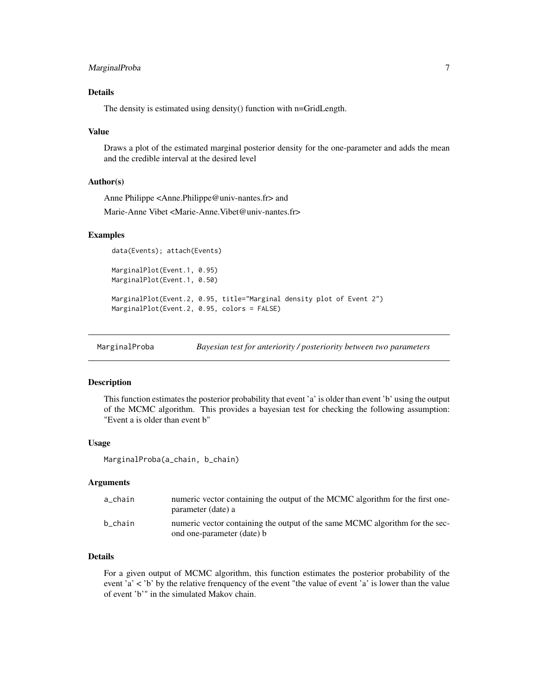# <span id="page-6-0"></span>MarginalProba 7

# Details

The density is estimated using density() function with n=GridLength.

#### Value

Draws a plot of the estimated marginal posterior density for the one-parameter and adds the mean and the credible interval at the desired level

# Author(s)

Anne Philippe <Anne.Philippe@univ-nantes.fr> and

Marie-Anne Vibet <Marie-Anne.Vibet@univ-nantes.fr>

#### Examples

data(Events); attach(Events)

MarginalPlot(Event.1, 0.95) MarginalPlot(Event.1, 0.50)

```
MarginalPlot(Event.2, 0.95, title="Marginal density plot of Event 2")
MarginalPlot(Event.2, 0.95, colors = FALSE)
```
MarginalProba *Bayesian test for anteriority / posteriority between two parameters*

#### Description

This function estimates the posterior probability that event 'a' is older than event 'b' using the output of the MCMC algorithm. This provides a bayesian test for checking the following assumption: "Event a is older than event b"

#### Usage

MarginalProba(a\_chain, b\_chain)

#### Arguments

| a chain | numeric vector containing the output of the MCMC algorithm for the first one-<br>parameter (date) a        |
|---------|------------------------------------------------------------------------------------------------------------|
| b chain | numeric vector containing the output of the same MCMC algorithm for the sec-<br>ond one-parameter (date) b |

# Details

For a given output of MCMC algorithm, this function estimates the posterior probability of the event 'a' < 'b' by the relative frenquency of the event "the value of event 'a' is lower than the value of event 'b'" in the simulated Makov chain.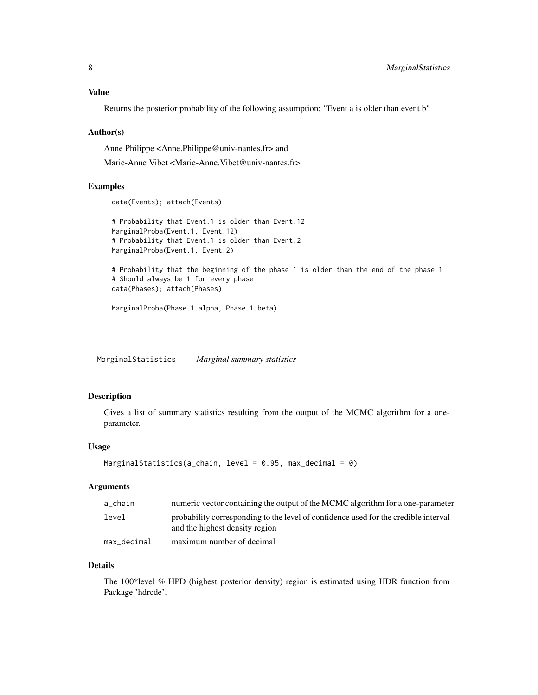# <span id="page-7-0"></span>Value

Returns the posterior probability of the following assumption: "Event a is older than event b"

#### Author(s)

Anne Philippe <Anne.Philippe@univ-nantes.fr> and

Marie-Anne Vibet <Marie-Anne.Vibet@univ-nantes.fr>

#### Examples

```
data(Events); attach(Events)
```
# Probability that Event.1 is older than Event.12 MarginalProba(Event.1, Event.12) # Probability that Event.1 is older than Event.2 MarginalProba(Event.1, Event.2)

```
# Probability that the beginning of the phase 1 is older than the end of the phase 1
# Should always be 1 for every phase
data(Phases); attach(Phases)
```
MarginalProba(Phase.1.alpha, Phase.1.beta)

MarginalStatistics *Marginal summary statistics*

# Description

Gives a list of summary statistics resulting from the output of the MCMC algorithm for a oneparameter.

#### Usage

```
MarginalStatistics(a_chain, level = 0.95, max_decimal = 0)
```
# Arguments

| a chain     | numeric vector containing the output of the MCMC algorithm for a one-parameter                                        |
|-------------|-----------------------------------------------------------------------------------------------------------------------|
| level       | probability corresponding to the level of confidence used for the credible interval<br>and the highest density region |
| max decimal | maximum number of decimal                                                                                             |

#### Details

The 100\*level % HPD (highest posterior density) region is estimated using HDR function from Package 'hdrcde'.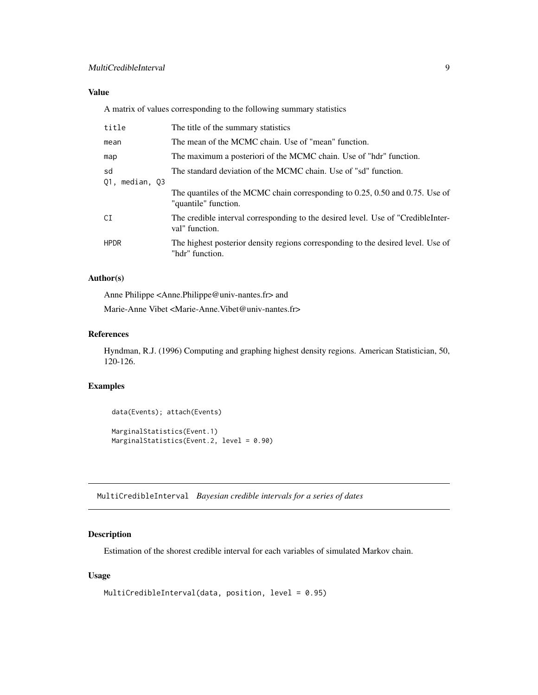# <span id="page-8-0"></span>Value

A matrix of values corresponding to the following summary statistics

| title                   | The title of the summary statistics                                                                                                                                     |
|-------------------------|-------------------------------------------------------------------------------------------------------------------------------------------------------------------------|
| mean                    | The mean of the MCMC chain. Use of "mean" function.                                                                                                                     |
| map                     | The maximum a posteriori of the MCMC chain. Use of "hdr" function.                                                                                                      |
| sd<br>median, 03<br>01. | The standard deviation of the MCMC chain. Use of "sd" function.<br>The quantiles of the MCMC chain corresponding to 0.25, 0.50 and 0.75. Use of<br>"quantile" function. |
| CI                      | The credible interval corresponding to the desired level. Use of "CredibleInter-<br>val" function.                                                                      |
| <b>HPDR</b>             | The highest posterior density regions corresponding to the desired level. Use of<br>"hdr" function.                                                                     |

#### Author(s)

Anne Philippe <Anne.Philippe@univ-nantes.fr> and

Marie-Anne Vibet <Marie-Anne.Vibet@univ-nantes.fr>

# References

Hyndman, R.J. (1996) Computing and graphing highest density regions. American Statistician, 50, 120-126.

# Examples

```
data(Events); attach(Events)
MarginalStatistics(Event.1)
MarginalStatistics(Event.2, level = 0.90)
```
MultiCredibleInterval *Bayesian credible intervals for a series of dates*

# Description

Estimation of the shorest credible interval for each variables of simulated Markov chain.

# Usage

```
MultiCredibleInterval(data, position, level = 0.95)
```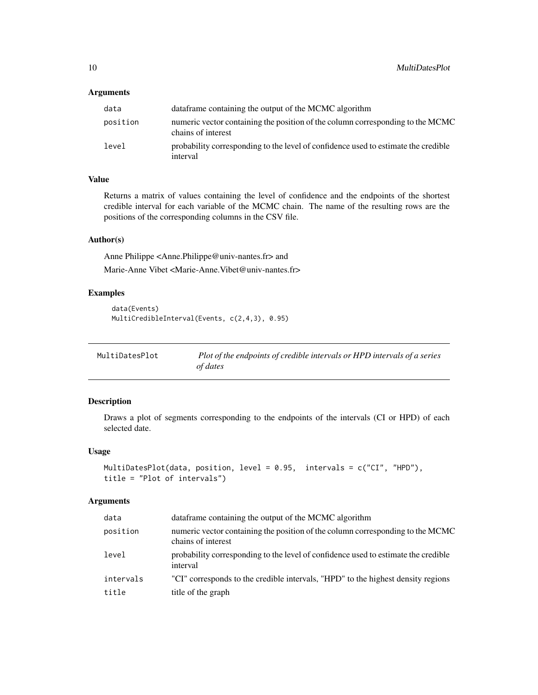# <span id="page-9-0"></span>Arguments

| data     | data frame containing the output of the MCMC algorithm                                               |
|----------|------------------------------------------------------------------------------------------------------|
| position | numeric vector containing the position of the column corresponding to the MCMC<br>chains of interest |
| level    | probability corresponding to the level of confidence used to estimate the credible<br>interval       |

# Value

Returns a matrix of values containing the level of confidence and the endpoints of the shortest credible interval for each variable of the MCMC chain. The name of the resulting rows are the positions of the corresponding columns in the CSV file.

#### Author(s)

Anne Philippe <Anne.Philippe@univ-nantes.fr> and

Marie-Anne Vibet <Marie-Anne.Vibet@univ-nantes.fr>

# Examples

```
data(Events)
MultiCredibleInterval(Events, c(2,4,3), 0.95)
```

| MultiDatesPlot | Plot of the endpoints of credible intervals or HPD intervals of a series |
|----------------|--------------------------------------------------------------------------|
|                | of dates                                                                 |

# Description

Draws a plot of segments corresponding to the endpoints of the intervals (CI or HPD) of each selected date.

#### Usage

```
MultiDatesPlot(data, position, level = 0.95, intervals = c("CI", "HPD"),
title = "Plot of intervals")
```
# Arguments

| data      | data frame containing the output of the MCMC algorithm                                               |
|-----------|------------------------------------------------------------------------------------------------------|
| position  | numeric vector containing the position of the column corresponding to the MCMC<br>chains of interest |
| level     | probability corresponding to the level of confidence used to estimate the credible<br>interval       |
| intervals | "CI" corresponds to the credible intervals, "HPD" to the highest density regions                     |
| title     | title of the graph                                                                                   |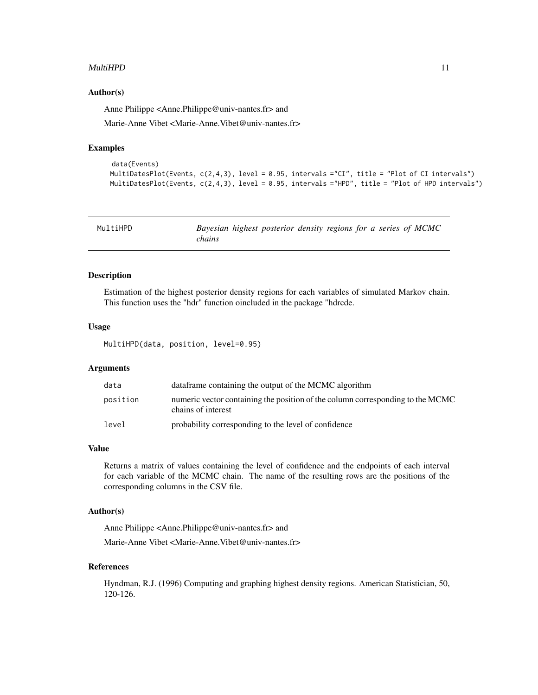#### <span id="page-10-0"></span> $\mu$ ultiHPD 11

#### Author(s)

Anne Philippe <Anne.Philippe@univ-nantes.fr> and

Marie-Anne Vibet <Marie-Anne.Vibet@univ-nantes.fr>

#### Examples

```
data(Events)
MultiDatesPlot(Events, c(2,4,3), level = 0.95, intervals ="CI", title = "Plot of CI intervals")
MultiDatesPlot(Events, c(2,4,3), level = 0.95, intervals ="HPD", title = "Plot of HPD intervals")
```

| MultiHPD | Bayesian highest posterior density regions for a series of MCMC<br><i>chains</i> |  |  |  |  |
|----------|----------------------------------------------------------------------------------|--|--|--|--|
|          |                                                                                  |  |  |  |  |

#### Description

Estimation of the highest posterior density regions for each variables of simulated Markov chain. This function uses the "hdr" function oincluded in the package "hdrcde.

#### Usage

MultiHPD(data, position, level=0.95)

#### Arguments

| data     | data frame containing the output of the MCMC algorithm                                               |
|----------|------------------------------------------------------------------------------------------------------|
| position | numeric vector containing the position of the column corresponding to the MCMC<br>chains of interest |
| level    | probability corresponding to the level of confidence                                                 |

#### Value

Returns a matrix of values containing the level of confidence and the endpoints of each interval for each variable of the MCMC chain. The name of the resulting rows are the positions of the corresponding columns in the CSV file.

#### Author(s)

Anne Philippe <Anne.Philippe@univ-nantes.fr> and

Marie-Anne Vibet <Marie-Anne.Vibet@univ-nantes.fr>

#### References

Hyndman, R.J. (1996) Computing and graphing highest density regions. American Statistician, 50, 120-126.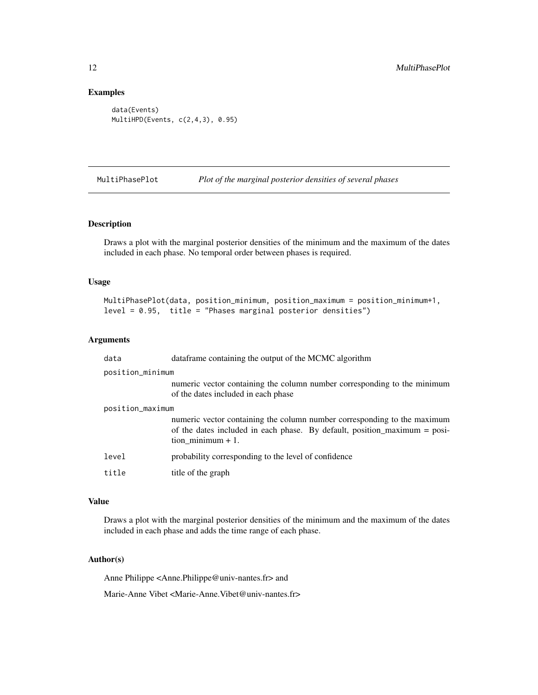# Examples

```
data(Events)
MultiHPD(Events, c(2,4,3), 0.95)
```
MultiPhasePlot *Plot of the marginal posterior densities of several phases*

#### Description

Draws a plot with the marginal posterior densities of the minimum and the maximum of the dates included in each phase. No temporal order between phases is required.

#### Usage

```
MultiPhasePlot(data, position_minimum, position_maximum = position_minimum+1,
level = 0.95, title = "Phases marginal posterior densities")
```
#### Arguments

| data             | dataframe containing the output of the MCMC algorithm                                                                                                                        |
|------------------|------------------------------------------------------------------------------------------------------------------------------------------------------------------------------|
| position_minimum |                                                                                                                                                                              |
|                  | numeric vector containing the column number corresponding to the minimum<br>of the dates included in each phase                                                              |
| position_maximum |                                                                                                                                                                              |
|                  | numeric vector containing the column number corresponding to the maximum<br>of the dates included in each phase. By default, position_maximum = posi-<br>tion minimum $+1$ . |
| level            | probability corresponding to the level of confidence                                                                                                                         |
| title            | title of the graph                                                                                                                                                           |

#### Value

Draws a plot with the marginal posterior densities of the minimum and the maximum of the dates included in each phase and adds the time range of each phase.

# Author(s)

Anne Philippe <Anne.Philippe@univ-nantes.fr> and

Marie-Anne Vibet <Marie-Anne.Vibet@univ-nantes.fr>

<span id="page-11-0"></span>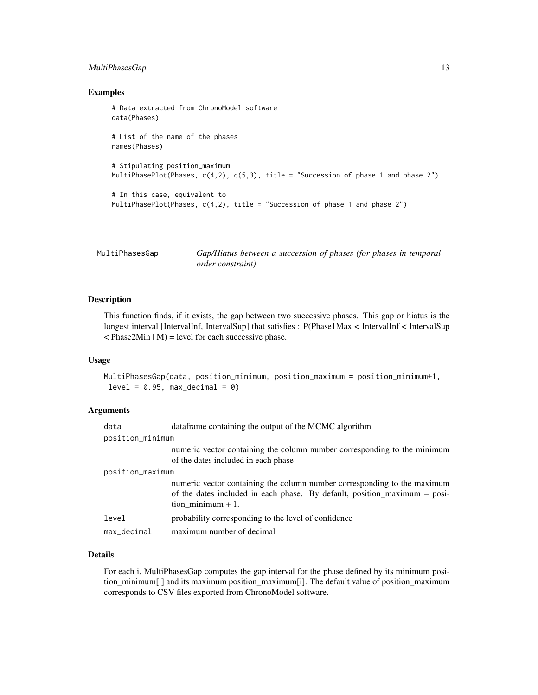# <span id="page-12-0"></span>MultiPhasesGap 13

#### Examples

```
# Data extracted from ChronoModel software
data(Phases)
# List of the name of the phases
names(Phases)
# Stipulating position_maximum
MultiPhasePlot(Phases, c(4,2), c(5,3), title = "Succession of phase 1 and phase 2")
# In this case, equivalent to
MultiPhasePlot(Phases, c(4,2), title = "Succession of phase 1 and phase 2")
```
MultiPhasesGap *Gap/Hiatus between a succession of phases (for phases in temporal order constraint)*

# Description

This function finds, if it exists, the gap between two successive phases. This gap or hiatus is the longest interval [IntervalInf, IntervalSup] that satisfies : P(Phase1Max < IntervalInf < IntervalSup  $\langle$  Phase2Min  $|M$ ) = level for each successive phase.

#### Usage

MultiPhasesGap(data, position\_minimum, position\_maximum = position\_minimum+1,  $level = 0.95$ ,  $max\_decimal = 0$ 

#### Arguments

| data             | data frame containing the output of the MCMC algorithm                                                                                                                       |
|------------------|------------------------------------------------------------------------------------------------------------------------------------------------------------------------------|
| position_minimum |                                                                                                                                                                              |
|                  | numeric vector containing the column number corresponding to the minimum<br>of the dates included in each phase                                                              |
| position_maximum |                                                                                                                                                                              |
|                  | numeric vector containing the column number corresponding to the maximum<br>of the dates included in each phase. By default, position_maximum = posi-<br>tion minimum $+1$ . |
| level            | probability corresponding to the level of confidence                                                                                                                         |
| max_decimal      | maximum number of decimal                                                                                                                                                    |
|                  |                                                                                                                                                                              |

# Details

For each i, MultiPhasesGap computes the gap interval for the phase defined by its minimum position\_minimum[i] and its maximum position\_maximum[i]. The default value of position\_maximum corresponds to CSV files exported from ChronoModel software.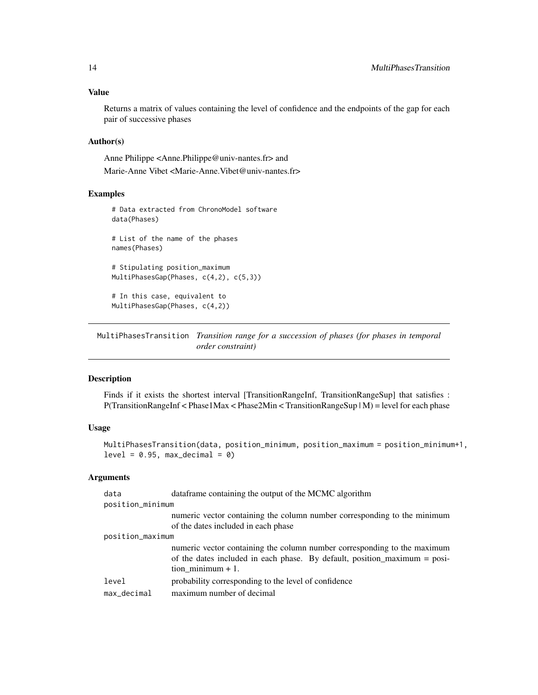<span id="page-13-0"></span>Returns a matrix of values containing the level of confidence and the endpoints of the gap for each pair of successive phases

#### Author(s)

Anne Philippe <Anne.Philippe@univ-nantes.fr> and Marie-Anne Vibet <Marie-Anne.Vibet@univ-nantes.fr>

# Examples

```
# Data extracted from ChronoModel software
data(Phases)
# List of the name of the phases
names(Phases)
# Stipulating position_maximum
MultiPhasesGap(Phases, c(4,2), c(5,3))
# In this case, equivalent to
MultiPhasesGap(Phases, c(4,2))
```
MultiPhasesTransition *Transition range for a succession of phases (for phases in temporal order constraint)*

#### Description

Finds if it exists the shortest interval [TransitionRangeInf, TransitionRangeSup] that satisfies : P(TransitionRangeInf < Phase1Max < Phase2Min < TransitionRangeSup | M) = level for each phase

# Usage

```
MultiPhasesTransition(data, position_minimum, position_maximum = position_minimum+1,
level = 0.95, max\_decimal = 0
```
# Arguments

| data                    | dataframe containing the output of the MCMC algorithm                                                                                                                        |
|-------------------------|------------------------------------------------------------------------------------------------------------------------------------------------------------------------------|
| position_minimum        |                                                                                                                                                                              |
|                         | numeric vector containing the column number corresponding to the minimum<br>of the dates included in each phase                                                              |
| position_maximum        |                                                                                                                                                                              |
|                         | numeric vector containing the column number corresponding to the maximum<br>of the dates included in each phase. By default, position_maximum = posi-<br>tion minimum $+1$ . |
| level<br>$max\_decimal$ | probability corresponding to the level of confidence<br>maximum number of decimal                                                                                            |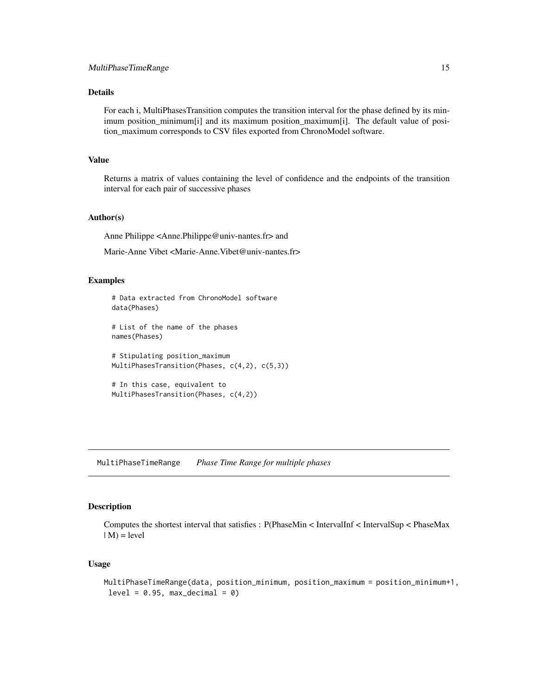# <span id="page-14-0"></span>Details

For each i, MultiPhasesTransition computes the transition interval for the phase defined by its minimum position\_minimum[i] and its maximum position\_maximum[i]. The default value of position\_maximum corresponds to CSV files exported from ChronoModel software.

# Value

Returns a matrix of values containing the level of confidence and the endpoints of the transition interval for each pair of successive phases

#### Author(s)

Anne Philippe <Anne.Philippe@univ-nantes.fr> and

Marie-Anne Vibet <Marie-Anne.Vibet@univ-nantes.fr>

#### Examples

```
# Data extracted from ChronoModel software
data(Phases)
# List of the name of the phases
names(Phases)
# Stipulating position_maximum
MultiPhasesTransition(Phases, c(4,2), c(5,3))
# In this case, equivalent to
MultiPhasesTransition(Phases, c(4,2))
```
MultiPhaseTimeRange *Phase Time Range for multiple phases*

# Description

Computes the shortest interval that satisfies : P(PhaseMin < IntervalInf < IntervalSup < PhaseMax  $|M$ ) = level

#### Usage

```
MultiPhaseTimeRange(data, position_minimum, position_maximum = position_minimum+1,
 level = 0.95, max\_decimal = 0
```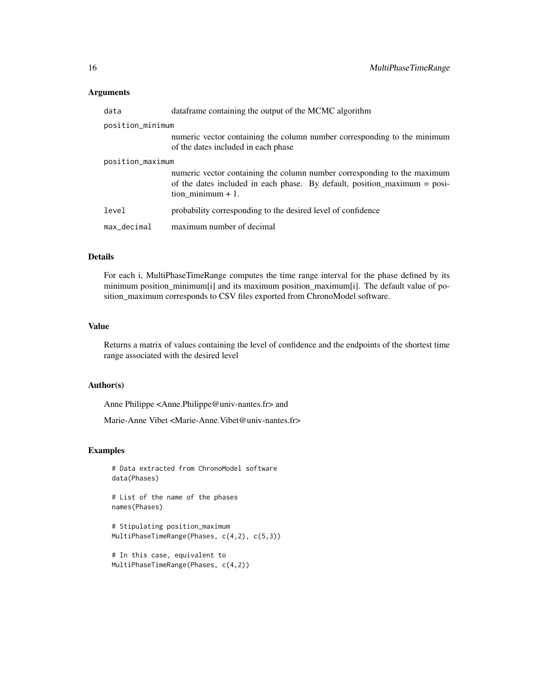#### Arguments

| data             | dataframe containing the output of the MCMC algorithm                                                                                                                        |  |
|------------------|------------------------------------------------------------------------------------------------------------------------------------------------------------------------------|--|
| position_minimum |                                                                                                                                                                              |  |
|                  | numeric vector containing the column number corresponding to the minimum<br>of the dates included in each phase                                                              |  |
| position_maximum |                                                                                                                                                                              |  |
|                  | numeric vector containing the column number corresponding to the maximum<br>of the dates included in each phase. By default, position_maximum = posi-<br>tion minimum $+1$ . |  |
| level            | probability corresponding to the desired level of confidence                                                                                                                 |  |
| max_decimal      | maximum number of decimal                                                                                                                                                    |  |

# Details

For each i, MultiPhaseTimeRange computes the time range interval for the phase defined by its minimum position\_minimum[i] and its maximum position\_maximum[i]. The default value of position\_maximum corresponds to CSV files exported from ChronoModel software.

#### Value

Returns a matrix of values containing the level of confidence and the endpoints of the shortest time range associated with the desired level

# Author(s)

Anne Philippe <Anne.Philippe@univ-nantes.fr> and

Marie-Anne Vibet <Marie-Anne.Vibet@univ-nantes.fr>

# Examples

```
# Data extracted from ChronoModel software
data(Phases)
```
# List of the name of the phases names(Phases)

# Stipulating position\_maximum MultiPhaseTimeRange(Phases, c(4,2), c(5,3))

# In this case, equivalent to MultiPhaseTimeRange(Phases, c(4,2))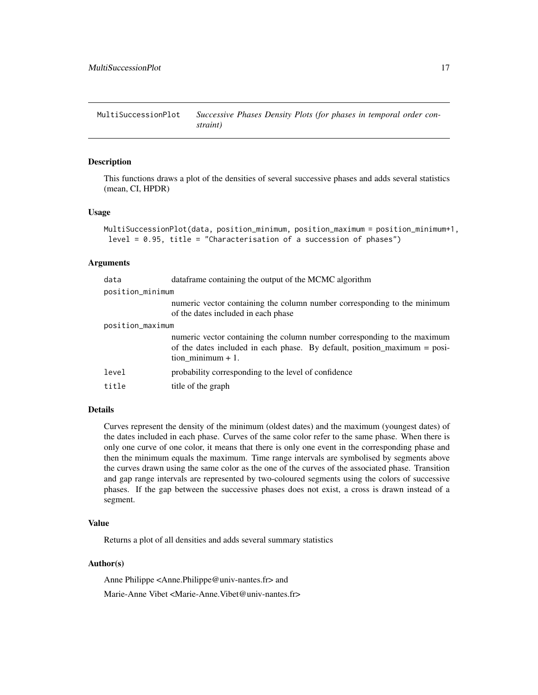<span id="page-16-0"></span>MultiSuccessionPlot *Successive Phases Density Plots (for phases in temporal order constraint)*

#### Description

This functions draws a plot of the densities of several successive phases and adds several statistics (mean, CI, HPDR)

#### Usage

```
MultiSuccessionPlot(data, position_minimum, position_maximum = position_minimum+1,
 level = 0.95, title = "Characterisation of a succession of phases")
```
#### Arguments

| data             | data frame containing the output of the MCMC algorithm                                                                                                                       |  |
|------------------|------------------------------------------------------------------------------------------------------------------------------------------------------------------------------|--|
| position_minimum |                                                                                                                                                                              |  |
|                  | numeric vector containing the column number corresponding to the minimum<br>of the dates included in each phase                                                              |  |
| position_maximum |                                                                                                                                                                              |  |
|                  | numeric vector containing the column number corresponding to the maximum<br>of the dates included in each phase. By default, position_maximum = posi-<br>tion minimum $+1$ . |  |
| level            | probability corresponding to the level of confidence                                                                                                                         |  |
| title            | title of the graph                                                                                                                                                           |  |
|                  |                                                                                                                                                                              |  |

#### Details

Curves represent the density of the minimum (oldest dates) and the maximum (youngest dates) of the dates included in each phase. Curves of the same color refer to the same phase. When there is only one curve of one color, it means that there is only one event in the corresponding phase and then the minimum equals the maximum. Time range intervals are symbolised by segments above the curves drawn using the same color as the one of the curves of the associated phase. Transition and gap range intervals are represented by two-coloured segments using the colors of successive phases. If the gap between the successive phases does not exist, a cross is drawn instead of a segment.

#### Value

Returns a plot of all densities and adds several summary statistics

# Author(s)

Anne Philippe <Anne.Philippe@univ-nantes.fr> and Marie-Anne Vibet <Marie-Anne.Vibet@univ-nantes.fr>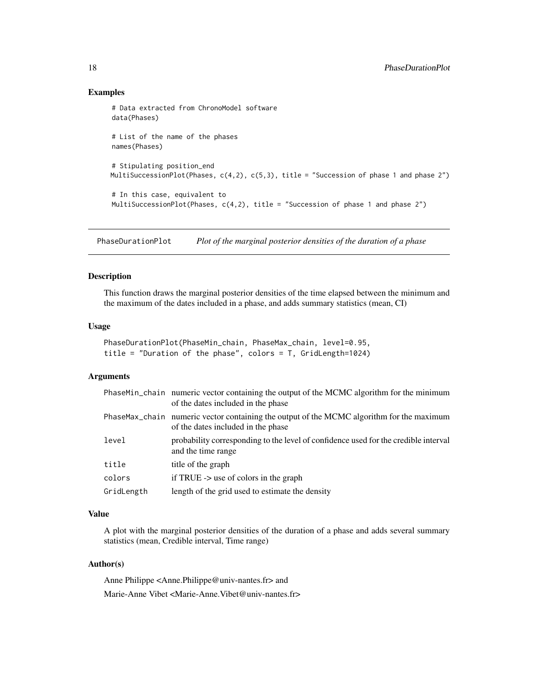#### Examples

```
# Data extracted from ChronoModel software
data(Phases)
# List of the name of the phases
names(Phases)
# Stipulating position_end
MultiSuccessionPlot(Phases, c(4,2), c(5,3), title = "Succession of phase 1 and phase 2")
# In this case, equivalent to
MultiSuccessionPlot(Phases, c(4,2), title = "Succession of phase 1 and phase 2")
```
PhaseDurationPlot *Plot of the marginal posterior densities of the duration of a phase*

# Description

This function draws the marginal posterior densities of the time elapsed between the minimum and the maximum of the dates included in a phase, and adds summary statistics (mean, CI)

#### Usage

```
PhaseDurationPlot(PhaseMin_chain, PhaseMax_chain, level=0.95,
title = "Duration of the phase", colors = T, GridLength=1024)
```
# Arguments

|            | PhaseMin_chain numeric vector containing the output of the MCMC algorithm for the minimum<br>of the dates included in the phase |
|------------|---------------------------------------------------------------------------------------------------------------------------------|
|            | PhaseMax_chain numeric vector containing the output of the MCMC algorithm for the maximum<br>of the dates included in the phase |
| level      | probability corresponding to the level of confidence used for the credible interval<br>and the time range                       |
| title      | title of the graph                                                                                                              |
| colors     | if TRUE $\rightarrow$ use of colors in the graph                                                                                |
| GridLength | length of the grid used to estimate the density                                                                                 |

#### Value

A plot with the marginal posterior densities of the duration of a phase and adds several summary statistics (mean, Credible interval, Time range)

# Author(s)

Anne Philippe <Anne.Philippe@univ-nantes.fr> and Marie-Anne Vibet <Marie-Anne.Vibet@univ-nantes.fr>

<span id="page-17-0"></span>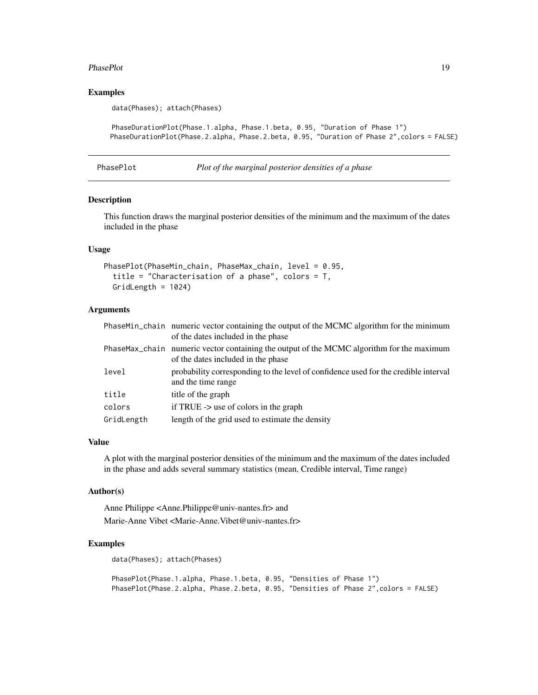#### <span id="page-18-0"></span>PhasePlot 19

# Examples

data(Phases); attach(Phases)

```
PhaseDurationPlot(Phase.1.alpha, Phase.1.beta, 0.95, "Duration of Phase 1")
PhaseDurationPlot(Phase.2.alpha, Phase.2.beta, 0.95, "Duration of Phase 2",colors = FALSE)
```

```
PhasePlot Plot of the marginal posterior densities of a phase
```
# Description

This function draws the marginal posterior densities of the minimum and the maximum of the dates included in the phase

#### Usage

```
PhasePlot(PhaseMin_chain, PhaseMax_chain, level = 0.95,
  title = "Characterisation of a phase", colors = T,
  GridLength = 1024)
```
# Arguments

|            | PhaseMin_chain numeric vector containing the output of the MCMC algorithm for the minimum<br>of the dates included in the phase |
|------------|---------------------------------------------------------------------------------------------------------------------------------|
|            | PhaseMax_chain numeric vector containing the output of the MCMC algorithm for the maximum<br>of the dates included in the phase |
| level      | probability corresponding to the level of confidence used for the credible interval<br>and the time range                       |
| title      | title of the graph                                                                                                              |
| colors     | if TRUE $\rightarrow$ use of colors in the graph                                                                                |
| GridLength | length of the grid used to estimate the density                                                                                 |

#### Value

A plot with the marginal posterior densities of the minimum and the maximum of the dates included in the phase and adds several summary statistics (mean, Credible interval, Time range)

# Author(s)

Anne Philippe <Anne.Philippe@univ-nantes.fr> and Marie-Anne Vibet <Marie-Anne.Vibet@univ-nantes.fr>

#### Examples

```
data(Phases); attach(Phases)
```
PhasePlot(Phase.1.alpha, Phase.1.beta, 0.95, "Densities of Phase 1") PhasePlot(Phase.2.alpha, Phase.2.beta, 0.95, "Densities of Phase 2",colors = FALSE)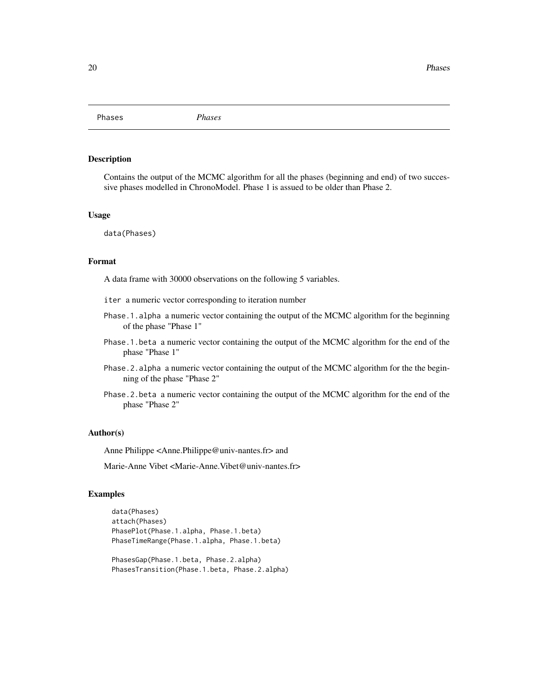<span id="page-19-0"></span>Phases *Phases*

# Description

Contains the output of the MCMC algorithm for all the phases (beginning and end) of two successive phases modelled in ChronoModel. Phase 1 is assued to be older than Phase 2.

#### Usage

data(Phases)

# Format

A data frame with 30000 observations on the following 5 variables.

iter a numeric vector corresponding to iteration number

- Phase.1.alpha a numeric vector containing the output of the MCMC algorithm for the beginning of the phase "Phase 1"
- Phase.1.beta a numeric vector containing the output of the MCMC algorithm for the end of the phase "Phase 1"
- Phase.2.alpha a numeric vector containing the output of the MCMC algorithm for the the beginning of the phase "Phase 2"
- Phase.2.beta a numeric vector containing the output of the MCMC algorithm for the end of the phase "Phase 2"

#### Author(s)

Anne Philippe <Anne.Philippe@univ-nantes.fr> and

Marie-Anne Vibet <Marie-Anne.Vibet@univ-nantes.fr>

```
data(Phases)
attach(Phases)
PhasePlot(Phase.1.alpha, Phase.1.beta)
PhaseTimeRange(Phase.1.alpha, Phase.1.beta)
PhasesGap(Phase.1.beta, Phase.2.alpha)
```

```
PhasesTransition(Phase.1.beta, Phase.2.alpha)
```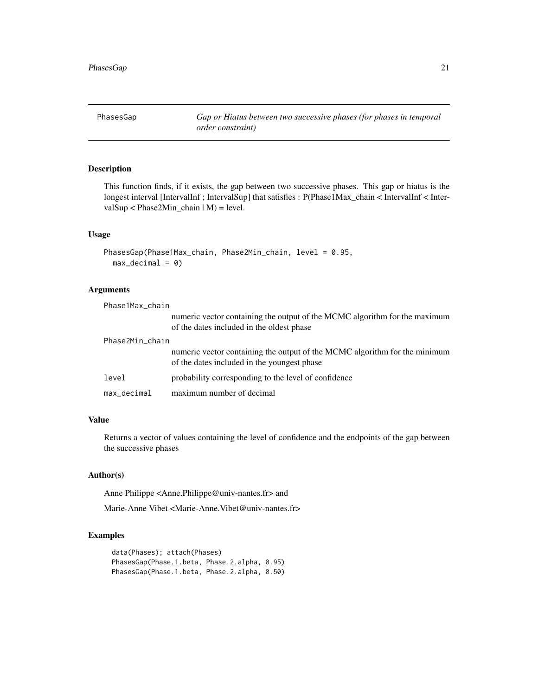<span id="page-20-0"></span>PhasesGap *Gap or Hiatus between two successive phases (for phases in temporal order constraint)*

# Description

This function finds, if it exists, the gap between two successive phases. This gap or hiatus is the longest interval [IntervalInf ; IntervalSup] that satisfies : P(Phase1Max\_chain < IntervalInf < IntervalSup < Phase2Min\_chain | M) = level.

#### Usage

```
PhasesGap(Phase1Max_chain, Phase2Min_chain, level = 0.95,
 max\_decimal = 0)
```
# Arguments

| Phase1Max_chain |                                                                                                                           |
|-----------------|---------------------------------------------------------------------------------------------------------------------------|
|                 | numeric vector containing the output of the MCMC algorithm for the maximum<br>of the dates included in the oldest phase   |
| Phase2Min_chain |                                                                                                                           |
|                 | numeric vector containing the output of the MCMC algorithm for the minimum<br>of the dates included in the youngest phase |
| level           | probability corresponding to the level of confidence                                                                      |
| max decimal     | maximum number of decimal                                                                                                 |

#### Value

Returns a vector of values containing the level of confidence and the endpoints of the gap between the successive phases

#### Author(s)

Anne Philippe <Anne.Philippe@univ-nantes.fr> and

Marie-Anne Vibet <Marie-Anne.Vibet@univ-nantes.fr>

```
data(Phases); attach(Phases)
PhasesGap(Phase.1.beta, Phase.2.alpha, 0.95)
PhasesGap(Phase.1.beta, Phase.2.alpha, 0.50)
```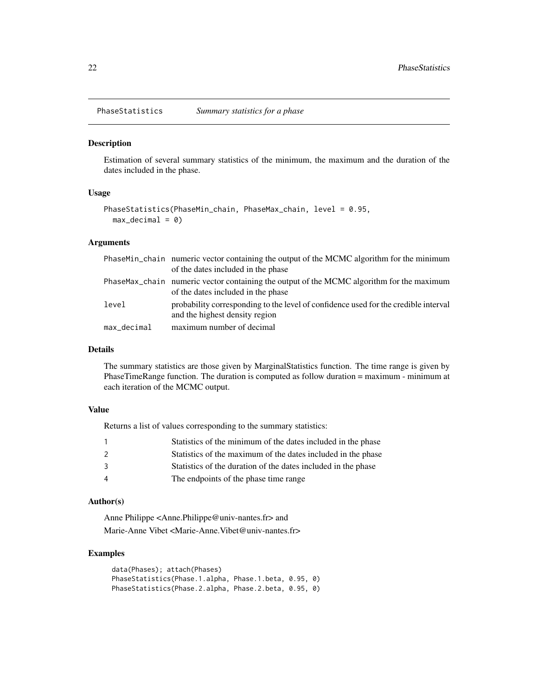<span id="page-21-0"></span>PhaseStatistics *Summary statistics for a phase*

#### Description

Estimation of several summary statistics of the minimum, the maximum and the duration of the dates included in the phase.

# Usage

```
PhaseStatistics(PhaseMin_chain, PhaseMax_chain, level = 0.95,
 max\_decimal = 0
```
#### Arguments

|             | PhaseMin_chain numeric vector containing the output of the MCMC algorithm for the minimum                                       |
|-------------|---------------------------------------------------------------------------------------------------------------------------------|
|             | of the dates included in the phase                                                                                              |
|             | PhaseMax_chain numeric vector containing the output of the MCMC algorithm for the maximum<br>of the dates included in the phase |
| level       | probability corresponding to the level of confidence used for the credible interval<br>and the highest density region           |
| max_decimal | maximum number of decimal                                                                                                       |

#### Details

The summary statistics are those given by MarginalStatistics function. The time range is given by PhaseTimeRange function. The duration is computed as follow duration = maximum - minimum at each iteration of the MCMC output.

#### Value

Returns a list of values corresponding to the summary statistics:

|                | Statistics of the minimum of the dates included in the phase  |
|----------------|---------------------------------------------------------------|
| $\mathcal{L}$  | Statistics of the maximum of the dates included in the phase  |
| 3              | Statistics of the duration of the dates included in the phase |
| $\overline{4}$ | The endpoints of the phase time range                         |

# Author(s)

Anne Philippe <Anne.Philippe@univ-nantes.fr> and Marie-Anne Vibet <Marie-Anne.Vibet@univ-nantes.fr>

```
data(Phases); attach(Phases)
PhaseStatistics(Phase.1.alpha, Phase.1.beta, 0.95, 0)
PhaseStatistics(Phase.2.alpha, Phase.2.beta, 0.95, 0)
```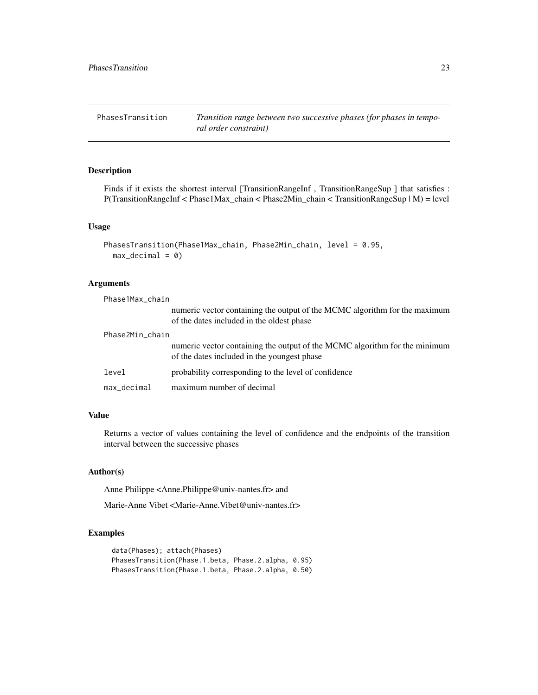<span id="page-22-0"></span>PhasesTransition *Transition range between two successive phases (for phases in temporal order constraint)*

# Description

Finds if it exists the shortest interval [TransitionRangeInf, TransitionRangeSup ] that satisfies : P(TransitionRangeInf < Phase1Max\_chain < Phase2Min\_chain < TransitionRangeSup | M) = level

### Usage

```
PhasesTransition(Phase1Max_chain, Phase2Min_chain, level = 0.95,
 max\_decimal = 0
```
#### Arguments

| Phase1Max_chain |                                                                                                                           |
|-----------------|---------------------------------------------------------------------------------------------------------------------------|
|                 | numeric vector containing the output of the MCMC algorithm for the maximum<br>of the dates included in the oldest phase   |
| Phase2Min_chain |                                                                                                                           |
|                 | numeric vector containing the output of the MCMC algorithm for the minimum<br>of the dates included in the youngest phase |
| level           | probability corresponding to the level of confidence                                                                      |
| $max\_decimal$  | maximum number of decimal                                                                                                 |

# Value

Returns a vector of values containing the level of confidence and the endpoints of the transition interval between the successive phases

#### Author(s)

Anne Philippe <Anne.Philippe@univ-nantes.fr> and

Marie-Anne Vibet <Marie-Anne.Vibet@univ-nantes.fr>

```
data(Phases); attach(Phases)
PhasesTransition(Phase.1.beta, Phase.2.alpha, 0.95)
PhasesTransition(Phase.1.beta, Phase.2.alpha, 0.50)
```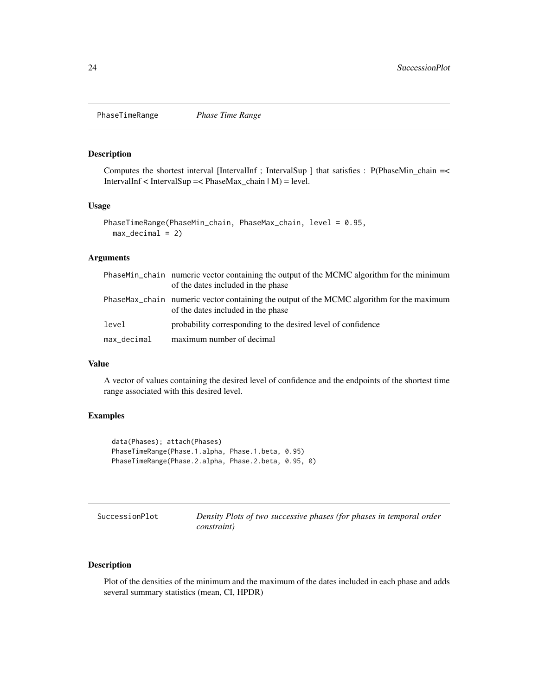<span id="page-23-0"></span>PhaseTimeRange *Phase Time Range*

# Description

Computes the shortest interval [IntervalInf ; IntervalSup ] that satisfies : P(PhaseMin\_chain =< IntervalInf < IntervalSup =< PhaseMax\_chain | M) = level.

#### Usage

```
PhaseTimeRange(PhaseMin_chain, PhaseMax_chain, level = 0.95,
 max\_decimal = 2)
```
#### Arguments

|             | PhaseMin_chain numeric vector containing the output of the MCMC algorithm for the minimum<br>of the dates included in the phase |
|-------------|---------------------------------------------------------------------------------------------------------------------------------|
|             | PhaseMax_chain numeric vector containing the output of the MCMC algorithm for the maximum<br>of the dates included in the phase |
| level       | probability corresponding to the desired level of confidence                                                                    |
| max_decimal | maximum number of decimal                                                                                                       |

#### Value

A vector of values containing the desired level of confidence and the endpoints of the shortest time range associated with this desired level.

# Examples

```
data(Phases); attach(Phases)
PhaseTimeRange(Phase.1.alpha, Phase.1.beta, 0.95)
PhaseTimeRange(Phase.2.alpha, Phase.2.beta, 0.95, 0)
```
SuccessionPlot *Density Plots of two successive phases (for phases in temporal order constraint)*

# Description

Plot of the densities of the minimum and the maximum of the dates included in each phase and adds several summary statistics (mean, CI, HPDR)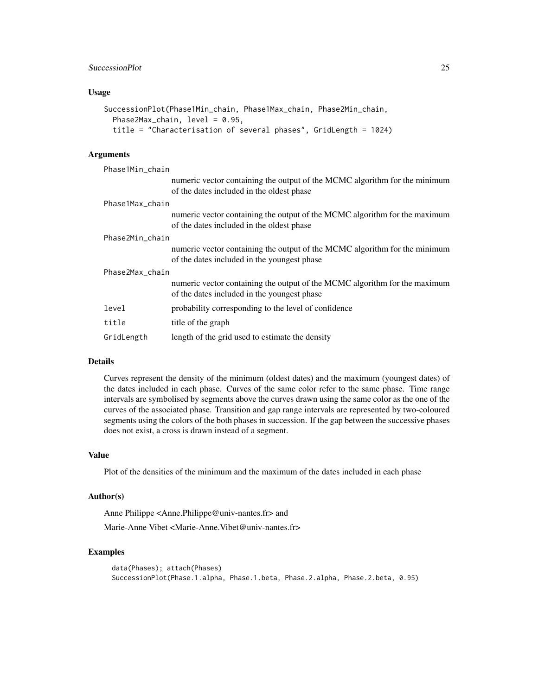# SuccessionPlot 25

#### Usage

```
SuccessionPlot(Phase1Min_chain, Phase1Max_chain, Phase2Min_chain,
 Phase2Max_chain, level = 0.95,
  title = "Characterisation of several phases", GridLength = 1024)
```
# Arguments

| Phase1Min_chain |                                                                                                                           |
|-----------------|---------------------------------------------------------------------------------------------------------------------------|
|                 | numeric vector containing the output of the MCMC algorithm for the minimum<br>of the dates included in the oldest phase   |
| Phase1Max chain |                                                                                                                           |
|                 | numeric vector containing the output of the MCMC algorithm for the maximum<br>of the dates included in the oldest phase   |
| Phase2Min chain |                                                                                                                           |
|                 | numeric vector containing the output of the MCMC algorithm for the minimum<br>of the dates included in the youngest phase |
| Phase2Max_chain |                                                                                                                           |
|                 | numeric vector containing the output of the MCMC algorithm for the maximum<br>of the dates included in the youngest phase |
| level           | probability corresponding to the level of confidence                                                                      |
| title           | title of the graph                                                                                                        |
| GridLength      | length of the grid used to estimate the density                                                                           |

#### Details

Curves represent the density of the minimum (oldest dates) and the maximum (youngest dates) of the dates included in each phase. Curves of the same color refer to the same phase. Time range intervals are symbolised by segments above the curves drawn using the same color as the one of the curves of the associated phase. Transition and gap range intervals are represented by two-coloured segments using the colors of the both phases in succession. If the gap between the successive phases does not exist, a cross is drawn instead of a segment.

#### Value

Plot of the densities of the minimum and the maximum of the dates included in each phase

#### Author(s)

Anne Philippe <Anne.Philippe@univ-nantes.fr> and

Marie-Anne Vibet <Marie-Anne.Vibet@univ-nantes.fr>

```
data(Phases); attach(Phases)
SuccessionPlot(Phase.1.alpha, Phase.1.beta, Phase.2.alpha, Phase.2.beta, 0.95)
```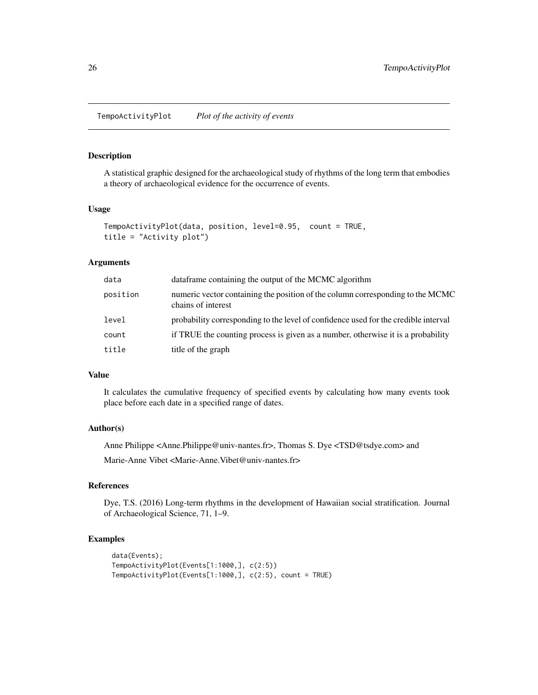#### <span id="page-25-0"></span>Description

A statistical graphic designed for the archaeological study of rhythms of the long term that embodies a theory of archaeological evidence for the occurrence of events.

#### Usage

```
TempoActivityPlot(data, position, level=0.95, count = TRUE,
title = "Activity plot")
```
# Arguments

| data     | data frame containing the output of the MCMC algorithm                                               |
|----------|------------------------------------------------------------------------------------------------------|
| position | numeric vector containing the position of the column corresponding to the MCMC<br>chains of interest |
| level    | probability corresponding to the level of confidence used for the credible interval                  |
| count    | if TRUE the counting process is given as a number, otherwise it is a probability                     |
| title    | title of the graph                                                                                   |

#### Value

It calculates the cumulative frequency of specified events by calculating how many events took place before each date in a specified range of dates.

# Author(s)

Anne Philippe <Anne.Philippe@univ-nantes.fr>, Thomas S. Dye <TSD@tsdye.com> and

Marie-Anne Vibet <Marie-Anne. Vibet@univ-nantes.fr>

# References

Dye, T.S. (2016) Long-term rhythms in the development of Hawaiian social stratification. Journal of Archaeological Science, 71, 1–9.

```
data(Events);
TempoActivityPlot(Events[1:1000,], c(2:5))
TempoActivityPlot(Events[1:1000,], c(2:5), count = TRUE)
```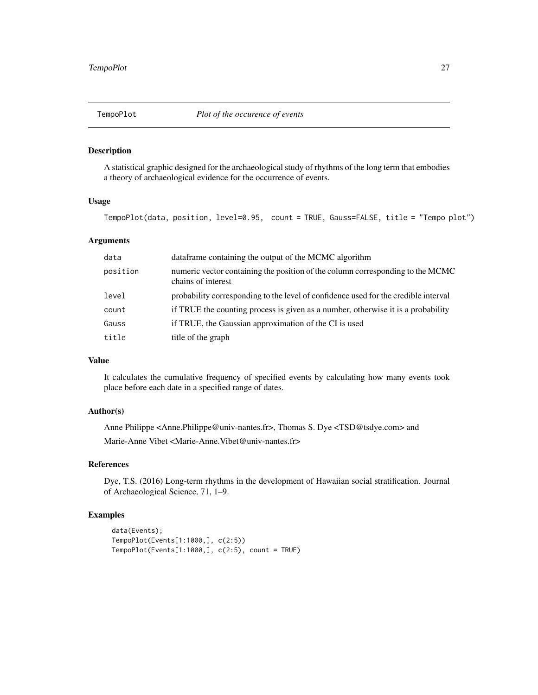<span id="page-26-0"></span>

# Description

A statistical graphic designed for the archaeological study of rhythms of the long term that embodies a theory of archaeological evidence for the occurrence of events.

#### Usage

TempoPlot(data, position, level=0.95, count = TRUE, Gauss=FALSE, title = "Tempo plot")

# Arguments

| data     | dataframe containing the output of the MCMC algorithm                                                |
|----------|------------------------------------------------------------------------------------------------------|
| position | numeric vector containing the position of the column corresponding to the MCMC<br>chains of interest |
| level    | probability corresponding to the level of confidence used for the credible interval                  |
| count    | if TRUE the counting process is given as a number, otherwise it is a probability                     |
| Gauss    | if TRUE, the Gaussian approximation of the CI is used                                                |
| title    | title of the graph                                                                                   |
|          |                                                                                                      |

#### Value

It calculates the cumulative frequency of specified events by calculating how many events took place before each date in a specified range of dates.

# Author(s)

Anne Philippe <Anne.Philippe@univ-nantes.fr>, Thomas S. Dye <TSD@tsdye.com> and Marie-Anne Vibet <Marie-Anne.Vibet@univ-nantes.fr>

# References

Dye, T.S. (2016) Long-term rhythms in the development of Hawaiian social stratification. Journal of Archaeological Science, 71, 1–9.

```
data(Events);
TempoPlot(Events[1:1000,], c(2:5))
TempoPlot(Events[1:1000,], c(2:5), count = TRUE)
```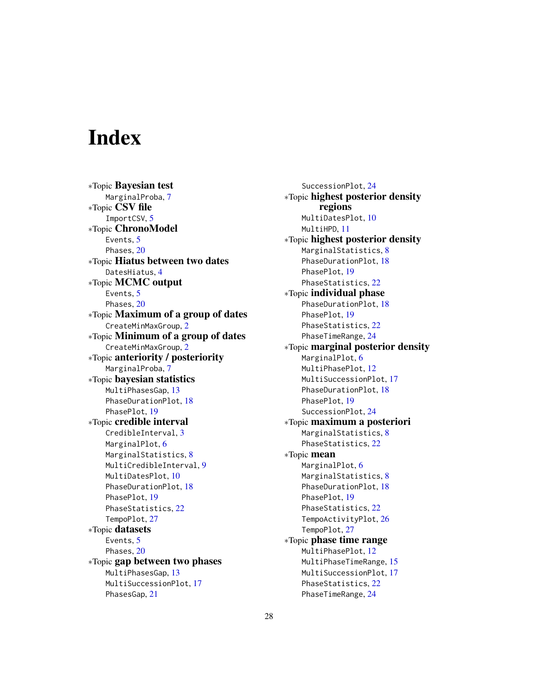# <span id="page-27-0"></span>**Index**

∗Topic Bayesian test MarginalProba, [7](#page-6-0) ∗Topic CSV file ImportCSV, [5](#page-4-0) ∗Topic ChronoModel Events, [5](#page-4-0) Phases, [20](#page-19-0) ∗Topic Hiatus between two dates DatesHiatus, [4](#page-3-0) ∗Topic MCMC output Events, [5](#page-4-0) Phases, [20](#page-19-0) ∗Topic Maximum of a group of dates CreateMinMaxGroup, [2](#page-1-0) ∗Topic Minimum of a group of dates CreateMinMaxGroup, [2](#page-1-0) ∗Topic anteriority / posteriority MarginalProba, [7](#page-6-0) ∗Topic bayesian statistics MultiPhasesGap, [13](#page-12-0) PhaseDurationPlot, [18](#page-17-0) PhasePlot, [19](#page-18-0) ∗Topic credible interval CredibleInterval, [3](#page-2-0) MarginalPlot, [6](#page-5-0) MarginalStatistics, [8](#page-7-0) MultiCredibleInterval, [9](#page-8-0) MultiDatesPlot, [10](#page-9-0) PhaseDurationPlot, [18](#page-17-0) PhasePlot, [19](#page-18-0) PhaseStatistics, [22](#page-21-0) TempoPlot, [27](#page-26-0) ∗Topic datasets Events, [5](#page-4-0) Phases, [20](#page-19-0) ∗Topic gap between two phases MultiPhasesGap, [13](#page-12-0) MultiSuccessionPlot, [17](#page-16-0) PhasesGap, [21](#page-20-0)

SuccessionPlot, [24](#page-23-0) ∗Topic highest posterior density regions MultiDatesPlot, [10](#page-9-0) MultiHPD, [11](#page-10-0) ∗Topic highest posterior density MarginalStatistics, [8](#page-7-0) PhaseDurationPlot, [18](#page-17-0) PhasePlot, [19](#page-18-0) PhaseStatistics, [22](#page-21-0) ∗Topic individual phase PhaseDurationPlot, [18](#page-17-0) PhasePlot, [19](#page-18-0) PhaseStatistics, [22](#page-21-0) PhaseTimeRange, [24](#page-23-0) ∗Topic marginal posterior density MarginalPlot, [6](#page-5-0) MultiPhasePlot, [12](#page-11-0) MultiSuccessionPlot, [17](#page-16-0) PhaseDurationPlot, [18](#page-17-0) PhasePlot, [19](#page-18-0) SuccessionPlot, [24](#page-23-0) ∗Topic maximum a posteriori MarginalStatistics, [8](#page-7-0) PhaseStatistics, [22](#page-21-0) ∗Topic mean MarginalPlot, [6](#page-5-0) MarginalStatistics, [8](#page-7-0) PhaseDurationPlot, [18](#page-17-0) PhasePlot, [19](#page-18-0) PhaseStatistics, [22](#page-21-0) TempoActivityPlot, [26](#page-25-0) TempoPlot, [27](#page-26-0) ∗Topic phase time range MultiPhasePlot, [12](#page-11-0) MultiPhaseTimeRange, [15](#page-14-0) MultiSuccessionPlot, [17](#page-16-0) PhaseStatistics, [22](#page-21-0) PhaseTimeRange, [24](#page-23-0)